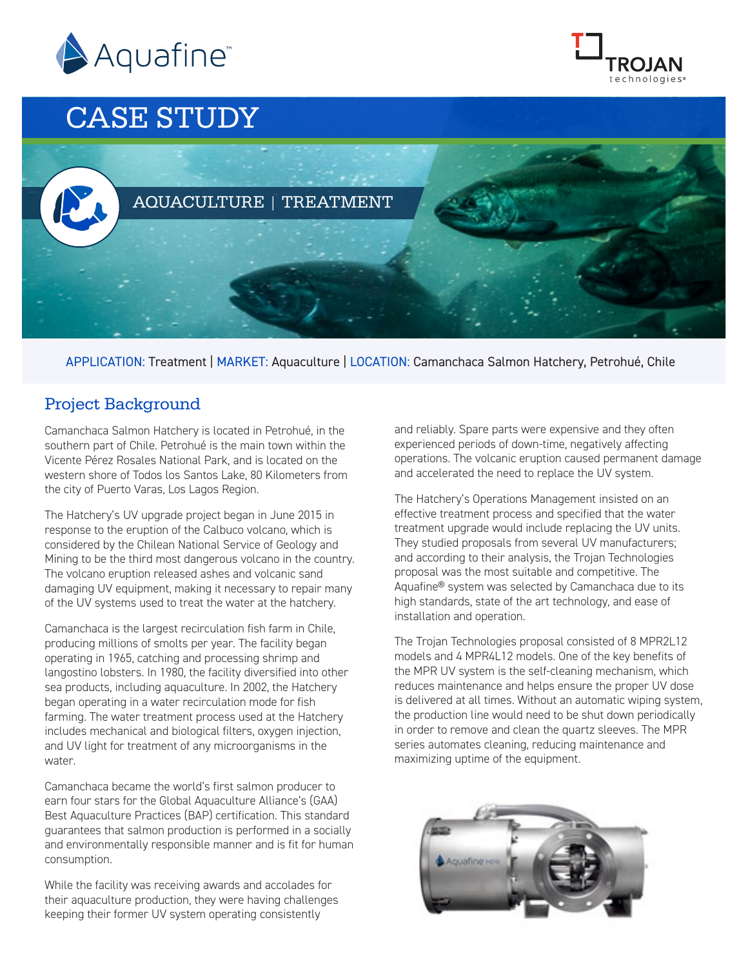



# CASE STUDY



APPLICATION: Treatment | MARKET: Aquaculture | LOCATION: Camanchaca Salmon Hatchery, Petrohué, Chile

### Project Background

Camanchaca Salmon Hatchery is located in Petrohué, in the southern part of Chile. Petrohué is the main town within the Vicente Pérez Rosales National Park, and is located on the western shore of Todos los Santos Lake, 80 Kilometers from the city of Puerto Varas, Los Lagos Region.

The Hatchery's UV upgrade project began in June 2015 in response to the eruption of the Calbuco volcano, which is considered by the Chilean National Service of Geology and Mining to be the third most dangerous volcano in the country. The volcano eruption released ashes and volcanic sand damaging UV equipment, making it necessary to repair many of the UV systems used to treat the water at the hatchery.

Camanchaca is the largest recirculation fish farm in Chile, producing millions of smolts per year. The facility began operating in 1965, catching and processing shrimp and langostino lobsters. In 1980, the facility diversified into other sea products, including aquaculture. In 2002, the Hatchery began operating in a water recirculation mode for fish farming. The water treatment process used at the Hatchery includes mechanical and biological filters, oxygen injection, and UV light for treatment of any microorganisms in the water.

Camanchaca became the world's first salmon producer to earn four stars for the Global Aquaculture Alliance's (GAA) Best Aquaculture Practices (BAP) certification. This standard guarantees that salmon production is performed in a socially and environmentally responsible manner and is fit for human consumption.

While the facility was receiving awards and accolades for their aquaculture production, they were having challenges keeping their former UV system operating consistently

and reliably. Spare parts were expensive and they often experienced periods of down-time, negatively affecting operations. The volcanic eruption caused permanent damage and accelerated the need to replace the UV system.

The Hatchery's Operations Management insisted on an effective treatment process and specified that the water treatment upgrade would include replacing the UV units. They studied proposals from several UV manufacturers; and according to their analysis, the Trojan Technologies proposal was the most suitable and competitive. The Aquafine® system was selected by Camanchaca due to its high standards, state of the art technology, and ease of installation and operation.

The Trojan Technologies proposal consisted of 8 MPR2L12 models and 4 MPR4L12 models. One of the key benefits of the MPR UV system is the self-cleaning mechanism, which reduces maintenance and helps ensure the proper UV dose is delivered at all times. Without an automatic wiping system, the production line would need to be shut down periodically in order to remove and clean the quartz sleeves. The MPR series automates cleaning, reducing maintenance and maximizing uptime of the equipment.